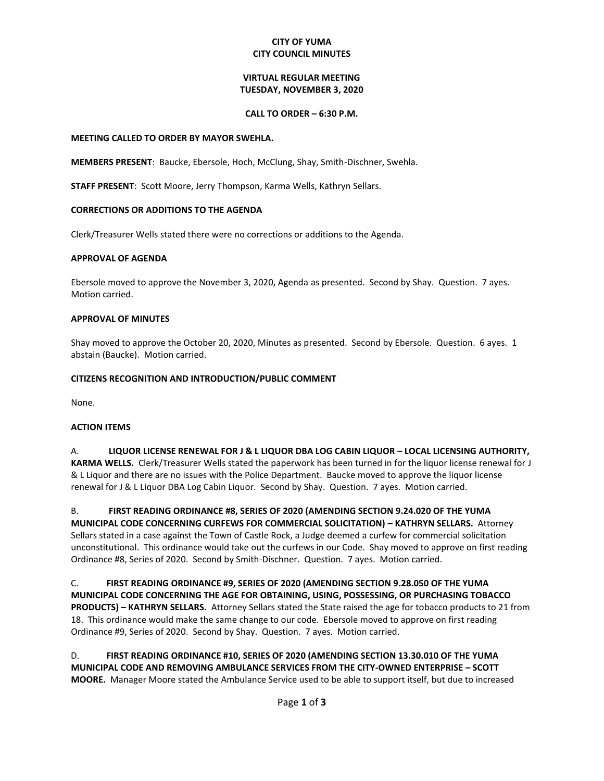### **CITY OF YUMA CITY COUNCIL MINUTES**

## **VIRTUAL REGULAR MEETING TUESDAY, NOVEMBER 3, 2020**

#### **CALL TO ORDER – 6:30 P.M.**

#### **MEETING CALLED TO ORDER BY MAYOR SWEHLA.**

**MEMBERS PRESENT**: Baucke, Ebersole, Hoch, McClung, Shay, Smith-Dischner, Swehla.

**STAFF PRESENT**: Scott Moore, Jerry Thompson, Karma Wells, Kathryn Sellars.

### **CORRECTIONS OR ADDITIONS TO THE AGENDA**

Clerk/Treasurer Wells stated there were no corrections or additions to the Agenda.

#### **APPROVAL OF AGENDA**

Ebersole moved to approve the November 3, 2020, Agenda as presented. Second by Shay. Question. 7 ayes. Motion carried.

#### **APPROVAL OF MINUTES**

Shay moved to approve the October 20, 2020, Minutes as presented. Second by Ebersole. Question. 6 ayes. 1 abstain (Baucke). Motion carried.

#### **CITIZENS RECOGNITION AND INTRODUCTION/PUBLIC COMMENT**

None.

### **ACTION ITEMS**

A. **LIQUOR LICENSE RENEWAL FOR J & L LIQUOR DBA LOG CABIN LIQUOR – LOCAL LICENSING AUTHORITY, KARMA WELLS.** Clerk/Treasurer Wells stated the paperwork has been turned in for the liquor license renewal for J & L Liquor and there are no issues with the Police Department. Baucke moved to approve the liquor license renewal for J & L Liquor DBA Log Cabin Liquor. Second by Shay. Question. 7 ayes. Motion carried.

B. **FIRST READING ORDINANCE #8, SERIES OF 2020 (AMENDING SECTION 9.24.020 OF THE YUMA MUNICIPAL CODE CONCERNING CURFEWS FOR COMMERCIAL SOLICITATION) – KATHRYN SELLARS.** Attorney Sellars stated in a case against the Town of Castle Rock, a Judge deemed a curfew for commercial solicitation unconstitutional. This ordinance would take out the curfews in our Code. Shay moved to approve on first reading Ordinance #8, Series of 2020. Second by Smith-Dischner. Question. 7 ayes. Motion carried.

C. **FIRST READING ORDINANCE #9, SERIES OF 2020 (AMENDING SECTION 9.28.050 OF THE YUMA MUNICIPAL CODE CONCERNING THE AGE FOR OBTAINING, USING, POSSESSING, OR PURCHASING TOBACCO PRODUCTS) – KATHRYN SELLARS.** Attorney Sellars stated the State raised the age for tobacco products to 21 from 18. This ordinance would make the same change to our code. Ebersole moved to approve on first reading Ordinance #9, Series of 2020. Second by Shay. Question. 7 ayes. Motion carried.

D. **FIRST READING ORDINANCE #10, SERIES OF 2020 (AMENDING SECTION 13.30.010 OF THE YUMA MUNICIPAL CODE AND REMOVING AMBULANCE SERVICES FROM THE CITY-OWNED ENTERPRISE – SCOTT MOORE.** Manager Moore stated the Ambulance Service used to be able to support itself, but due to increased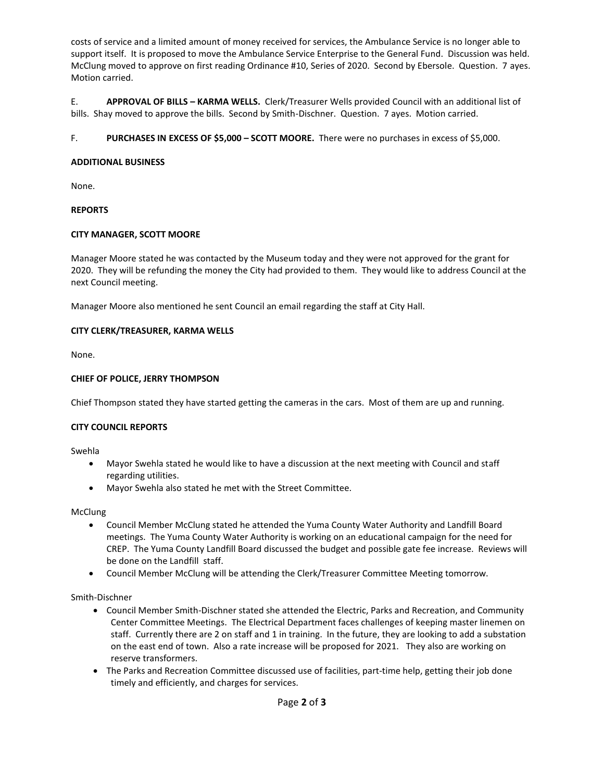costs of service and a limited amount of money received for services, the Ambulance Service is no longer able to support itself. It is proposed to move the Ambulance Service Enterprise to the General Fund. Discussion was held. McClung moved to approve on first reading Ordinance #10, Series of 2020. Second by Ebersole. Question. 7 ayes. Motion carried.

E. **APPROVAL OF BILLS – KARMA WELLS.** Clerk/Treasurer Wells provided Council with an additional list of bills. Shay moved to approve the bills. Second by Smith-Dischner. Question. 7 ayes. Motion carried.

F. **PURCHASES IN EXCESS OF \$5,000 – SCOTT MOORE.** There were no purchases in excess of \$5,000.

## **ADDITIONAL BUSINESS**

None.

# **REPORTS**

# **CITY MANAGER, SCOTT MOORE**

Manager Moore stated he was contacted by the Museum today and they were not approved for the grant for 2020. They will be refunding the money the City had provided to them. They would like to address Council at the next Council meeting.

Manager Moore also mentioned he sent Council an email regarding the staff at City Hall.

# **CITY CLERK/TREASURER, KARMA WELLS**

None.

# **CHIEF OF POLICE, JERRY THOMPSON**

Chief Thompson stated they have started getting the cameras in the cars. Most of them are up and running.

### **CITY COUNCIL REPORTS**

Swehla

- Mayor Swehla stated he would like to have a discussion at the next meeting with Council and staff regarding utilities.
- Mayor Swehla also stated he met with the Street Committee.

**McClung** 

- Council Member McClung stated he attended the Yuma County Water Authority and Landfill Board meetings. The Yuma County Water Authority is working on an educational campaign for the need for CREP. The Yuma County Landfill Board discussed the budget and possible gate fee increase. Reviews will be done on the Landfill staff.
- Council Member McClung will be attending the Clerk/Treasurer Committee Meeting tomorrow.

Smith-Dischner

- Council Member Smith-Dischner stated she attended the Electric, Parks and Recreation, and Community Center Committee Meetings. The Electrical Department faces challenges of keeping master linemen on staff. Currently there are 2 on staff and 1 in training. In the future, they are looking to add a substation on the east end of town. Also a rate increase will be proposed for 2021. They also are working on reserve transformers.
- The Parks and Recreation Committee discussed use of facilities, part-time help, getting their job done timely and efficiently, and charges for services.